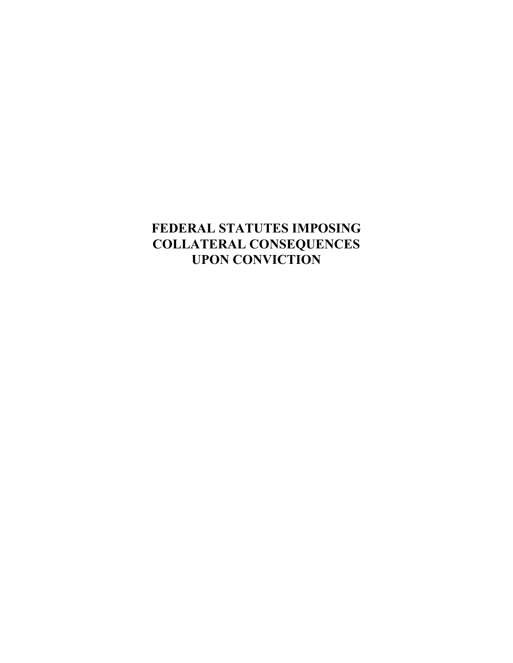# **FEDERAL STATUTES IMPOSING COLLATERAL CONSEQUENCES UPON CONVICTION**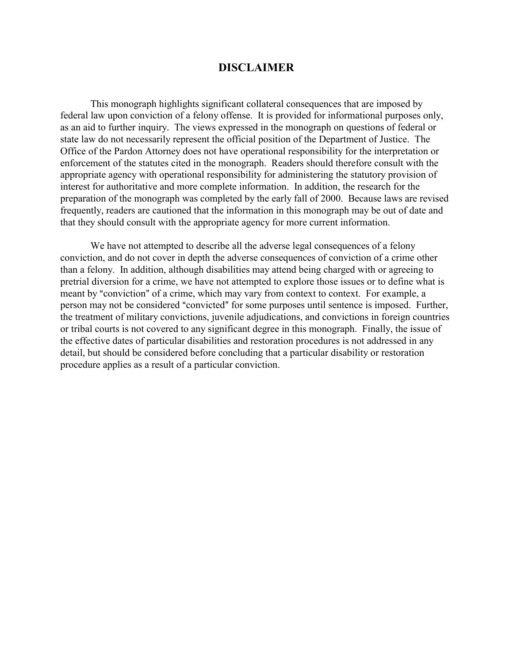### **DISCLAIMER**

This monograph highlights significant collateral consequences that are imposed by federal law upon conviction of a felony offense. It is provided for informational purposes only, as an aid to further inquiry. The views expressed in the monograph on questions of federal or state law do not necessarily represent the official position of the Department of Justice. The Office of the Pardon Attorney does not have operational responsibility for the interpretation or enforcement of the statutes cited in the monograph. Readers should therefore consult with the appropriate agency with operational responsibility for administering the statutory provision of interest for authoritative and more complete information. In addition, the research for the preparation of the monograph was completed by the early fall of 2000. Because laws are revised frequently, readers are cautioned that the information in this monograph may be out of date and that they should consult with the appropriate agency for more current information.

We have not attempted to describe all the adverse legal consequences of a felony conviction, and do not cover in depth the adverse consequences of conviction of a crime other than a felony. In addition, although disabilities may attend being charged with or agreeing to pretrial diversion for a crime, we have not attempted to explore those issues or to define what is meant by "conviction" of a crime, which may vary from context to context. For example, a person may not be considered "convicted" for some purposes until sentence is imposed. Further, the treatment of military convictions, juvenile adjudications, and convictions in foreign countries or tribal courts is not covered to any significant degree in this monograph. Finally, the issue of the effective dates of particular disabilities and restoration procedures is not addressed in any detail, but should be considered before concluding that a particular disability or restoration procedure applies as a result of a particular conviction.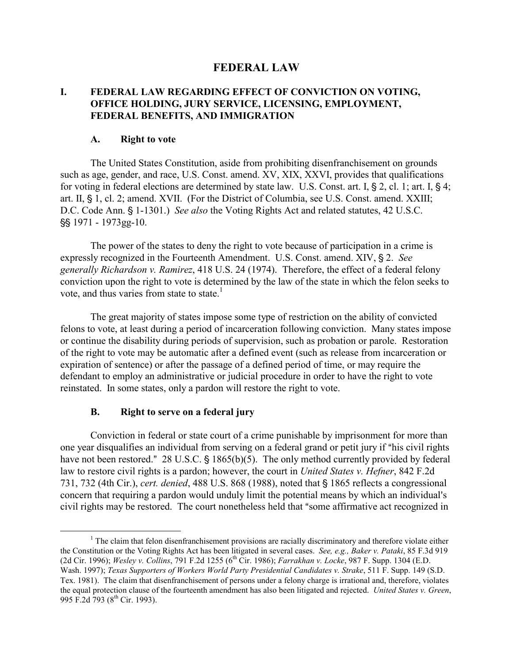# **FEDERAL LAW**

### **I. FEDERAL LAW REGARDING EFFECT OF CONVICTION ON VOTING, OFFICE HOLDING, JURY SERVICE, LICENSING, EMPLOYMENT, FEDERAL BENEFITS, AND IMMIGRATION**

#### **A. Right to vote**

The United States Constitution, aside from prohibiting disenfranchisement on grounds such as age, gender, and race, U.S. Const. amend. XV, XIX, XXVI, provides that qualifications for voting in federal elections are determined by state law. U.S. Const. art. I,  $\S 2$ , cl. 1; art. I,  $\S 4$ ; art. II, § 1, cl. 2; amend. XVII. (For the District of Columbia, see U.S. Const. amend. XXIII; D.C. Code Ann. § 1-1301.) *See also* the Voting Rights Act and related statutes, 42 U.S.C. §§ 1971 - 1973gg-10.

The power of the states to deny the right to vote because of participation in a crime is expressly recognized in the Fourteenth Amendment. U.S. Const. amend. XIV, § 2. See *generally Richardson v. Ramirez*, 418 U.S. 24 (1974). Therefore, the effect of a federal felony conviction upon the right to vote is determined by the law of the state in which the felon seeks to vote, and thus varies from state to state.<sup>1</sup>

The great majority of states impose some type of restriction on the ability of convicted felons to vote, at least during a period of incarceration following conviction. Many states impose or continue the disability during periods of supervision, such as probation or parole. Restoration of the right to vote may be automatic after a defined event (such as release from incarceration or expiration of sentence) or after the passage of a defined period of time, or may require the defendant to employ an administrative or judicial procedure in order to have the right to vote reinstated. In some states, only a pardon will restore the right to vote.

#### **B. Right to serve on a federal jury**

Conviction in federal or state court of a crime punishable by imprisonment for more than one year disqualifies an individual from serving on a federal grand or petit jury if "his civil rights" have not been restored."  $28$  U.S.C. § 1865(b)(5). The only method currently provided by federal law to restore civil rights is a pardon; however, the court in *United States v. Hefner*, 842 F.2d 731, 732 (4th Cir.), *cert. denied*, 488 U.S. 868 (1988), noted that § 1865 reflects a congressional concern that requiring a pardon would unduly limit the potential means by which an individual's civil rights may be restored. The court nonetheless held that "some affirmative act recognized in

<span id="page-2-0"></span> $\begin{array}{c|c}\n\hline\n\end{array}$ <sup>1</sup> The claim that felon disenfranchisement provisions are racially discriminatory and therefore violate either the Constitution or the Voting Rights Act has been litigated in several cases. *See, e.g., Baker v. Pataki*, 85 F.3d 919 (2d Cir. 1996); *Wesley v. Collins*, 791 F.2d 1255 (6<sup>th</sup> Cir. 1986); *Farrakhan v. Locke*, 987 F. Supp. 1304 (E.D. Wash. 1997); *Texas Supporters of Workers World Party Presidential Candidates v. Strake*, 511 F. Supp. 149 (S.D. Tex. 1981). The claim that disenfranchisement of persons under a felony charge is irrational and, therefore, violates the equal protection clause of the fourteenth amendment has also been litigated and rejected. *United States v. Green*, 995 F.2d 793 (8<sup>th</sup> Cir. 1993).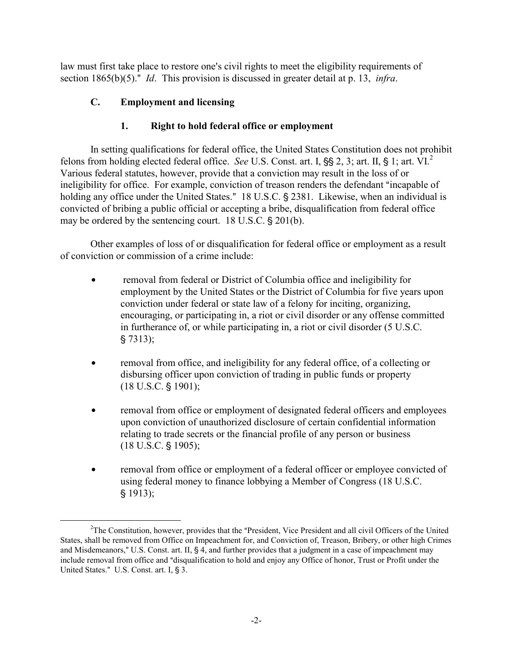law must first take place to restore one's civil rights to meet the eligibility requirements of section 1865(b)(5)." *Id*. This provision is discussed in greater detail at p. 13, *infra*.

# **C. Employment and licensing**

# **1. Right to hold federal office or employment**

In setting qualifications for federal office, the United States Constitution does not prohibit felons from holding elected federal office. *See* U.S. Const. art. I, §§ [2](#page-3-0), 3; art. II, § 1; art. VI.<sup>2</sup> Various federal statutes, however, provide that a conviction may result in the loss of or ineligibility for office. For example, conviction of treason renders the defendant "incapable of holding any office under the United States." 18 U.S.C. § 2381. Likewise, when an individual is convicted of bribing a public official or accepting a bribe, disqualification from federal office may be ordered by the sentencing court.  $18 \text{ U.S.C.}$  \$ 201(b).

Other examples of loss of or disqualification for federal office or employment as a result of conviction or commission of a crime include:

- removal from federal or District of Columbia office and ineligibility for employment by the United States or the District of Columbia for five years upon conviction under federal or state law of a felony for inciting, organizing, encouraging, or participating in, a riot or civil disorder or any offense committed in furtherance of, or while participating in, a riot or civil disorder (5 U.S.C.  $$7313);$
- removal from office, and ineligibility for any federal office, of a collecting or disbursing officer upon conviction of trading in public funds or property  $(18 \text{ U.S.C. } $1901);$
- removal from office or employment of designated federal officers and employees upon conviction of unauthorized disclosure of certain confidential information relating to trade secrets or the financial profile of any person or business  $(18 \text{ U.S.C.} \S 1905);$
- removal from office or employment of a federal officer or employee convicted of using federal money to finance lobbying a Member of Congress (18 U.S.C.  $$1913);$

<span id="page-3-0"></span> $\frac{1}{2}$ <sup>2</sup>The Constitution, however, provides that the "President, Vice President and all civil Officers of the United States, shall be removed from Office on Impeachment for, and Conviction of, Treason, Bribery, or other high Crimes and Misdemeanors," U.S. Const. art. II,  $\frac{6}{5}$  4, and further provides that a judgment in a case of impeachment may include removal from office and "disqualification to hold and enjoy any Office of honor, Trust or Profit under the United States." U.S. Const. art. I, § 3.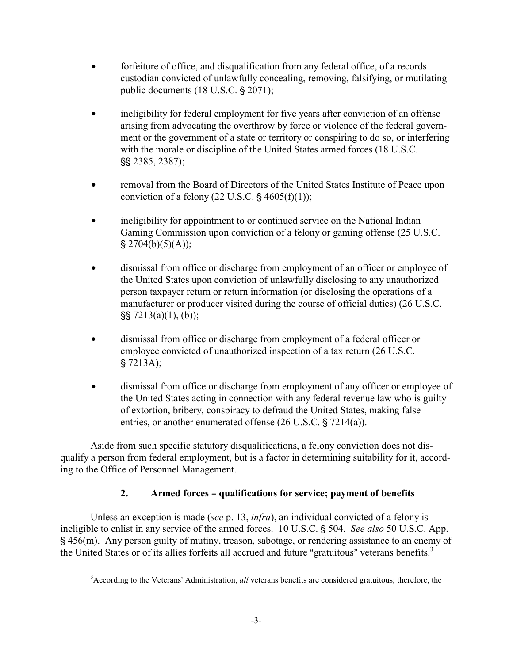- <span id="page-4-0"></span>• forfeiture of office, and disqualification from any federal office, of a records custodian convicted of unlawfully concealing, removing, falsifying, or mutilating public documents  $(18 \text{ U.S.C.} \$ 2071)$ ;
- ineligibility for federal employment for five years after conviction of an offense arising from advocating the overthrow by force or violence of the federal government or the government of a state or territory or conspiring to do so, or interfering with the morale or discipline of the United States armed forces (18 U.S.C. '' 2385, 2387);
- removal from the Board of Directors of the United States Institute of Peace upon conviction of a felony (22 U.S.C.  $\S$  4605(f)(1));
- ineligibility for appointment to or continued service on the National Indian Gaming Commission upon conviction of a felony or gaming offense (25 U.S.C.  $$2704(b)(5)(A));$
- dismissal from office or discharge from employment of an officer or employee of the United States upon conviction of unlawfully disclosing to any unauthorized person taxpayer return or return information (or disclosing the operations of a manufacturer or producer visited during the course of official duties) (26 U.S.C.  $\$  7213(a)(1), (b));
- dismissal from office or discharge from employment of a federal officer or employee convicted of unauthorized inspection of a tax return (26 U.S.C.  $$7213A);$
- dismissal from office or discharge from employment of any officer or employee of the United States acting in connection with any federal revenue law who is guilty of extortion, bribery, conspiracy to defraud the United States, making false entries, or another enumerated offense  $(26$  U.S.C.  $\S$  7214(a)).

Aside from such specific statutory disqualifications, a felony conviction does not disqualify a person from federal employment, but is a factor in determining suitability for it, according to the Office of Personnel Management.

# **2.** Armed forces – qualifications for service; payment of benefits

Unless an exception is made (*see* p. 13, *infra*), an individual convicted of a felony is ineligible to enlist in any service of the armed forces. 10 U.S.C. § 504. *See also* 50 U.S.C. App. ' 456(m). Any person guilty of mutiny, treason, sabotage, or rendering assistance to an enemy of the United States or of its allies forfeits all accrued and future "gratuitous" veterans benefits.<sup>[3](#page-4-0)</sup>

1

<sup>&</sup>lt;sup>3</sup>According to the Veterans' Administration, *all* veterans benefits are considered gratuitous; therefore, the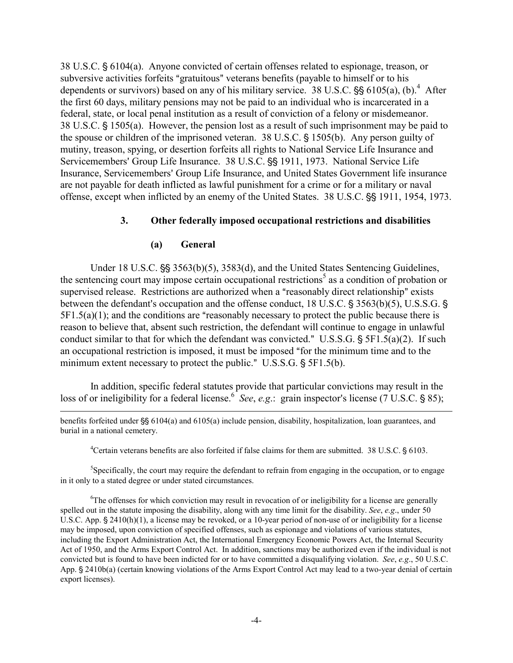38 U.S.C.  $\S 6104(a)$ . Anyone convicted of certain offenses related to espionage, treason, or subversive activities forfeits "gratuitous" veterans benefits (payable to himself or to his dependents or survivors) based on any of his military service. 38 U.S.C.  $\S$ § 6105(a), (b).<sup>[4](#page-5-0)</sup> After the first 60 days, military pensions may not be paid to an individual who is incarcerated in a federal, state, or local penal institution as a result of conviction of a felony or misdemeanor. 38 U.S.C.  $\S$  1505(a). However, the pension lost as a result of such imprisonment may be paid to the spouse or children of the imprisoned veteran.  $38 \text{ U.S.C.}$  \$1505(b). Any person guilty of mutiny, treason, spying, or desertion forfeits all rights to National Service Life Insurance and Servicemembers' Group Life Insurance. 38 U.S.C. §§ 1911, 1973. National Service Life Insurance, Servicemembers' Group Life Insurance, and United States Government life insurance are not payable for death inflicted as lawful punishment for a crime or for a military or naval offense, except when inflicted by an enemy of the United States. 38 U.S.C.  $\S$ § 1911, 1954, 1973.

### **3. Other federally imposed occupational restrictions and disabilities**

#### **(a) General**

 $\overline{a}$ 

Under 18 U.S.C.  $\frac{55}{5}$  3563(b)(5), 3583(d), and the United States Sentencing Guidelines, the sentencing court may impose certain occupational restrictions<sup>5</sup> as a condition of probation or supervised release. Restrictions are authorized when a "reasonably direct relationship" exists between the defendant's occupation and the offense conduct,  $18$  U.S.C.  $\S$  3563(b)(5), U.S.S.G.  $\S$  $5F1.5(a)(1)$ ; and the conditions are "reasonably necessary to protect the public because there is reason to believe that, absent such restriction, the defendant will continue to engage in unlawful conduct similar to that for which the defendant was convicted." U.S.S.G.  $\S$  5F1.5(a)(2). If such an occupational restriction is imposed, it must be imposed "for the minimum time and to the minimum extent necessary to protect the public." U.S.S.G.  $\S$  5F1.5(b).

In addition, specific federal statutes provide that particular convictions may result in the loss of or ineligibility for a federal license.<sup>[6](#page-5-2)</sup> See, e.g.: grain inspector's license (7 U.S.C. § 85);

benefits forfeited under  $\frac{86}{9}6104(a)$  and  $6105(a)$  include pension, disability, hospitalization, loan guarantees, and burial in a national cemetery.

<span id="page-5-1"></span><span id="page-5-0"></span><sup>4</sup> Certain veterans benefits are also forfeited if false claims for them are submitted. 38 U.S.C.  $\S$  6103.

<sup>5</sup>Specifically, the court may require the defendant to refrain from engaging in the occupation, or to engage in it only to a stated degree or under stated circumstances.

<span id="page-5-2"></span><sup>6</sup>The offenses for which conviction may result in revocation of or ineligibility for a license are generally spelled out in the statute imposing the disability, along with any time limit for the disability. *See*, *e.g*., under 50 U.S.C. App.  $\S 2410(h)(1)$ , a license may be revoked, or a 10-year period of non-use of or ineligibility for a license may be imposed, upon conviction of specified offenses, such as espionage and violations of various statutes, including the Export Administration Act, the International Emergency Economic Powers Act, the Internal Security Act of 1950, and the Arms Export Control Act. In addition, sanctions may be authorized even if the individual is not convicted but is found to have been indicted for or to have committed a disqualifying violation. *See*, *e.g*., 50 U.S.C. App. § 2410b(a) (certain knowing violations of the Arms Export Control Act may lead to a two-year denial of certain export licenses).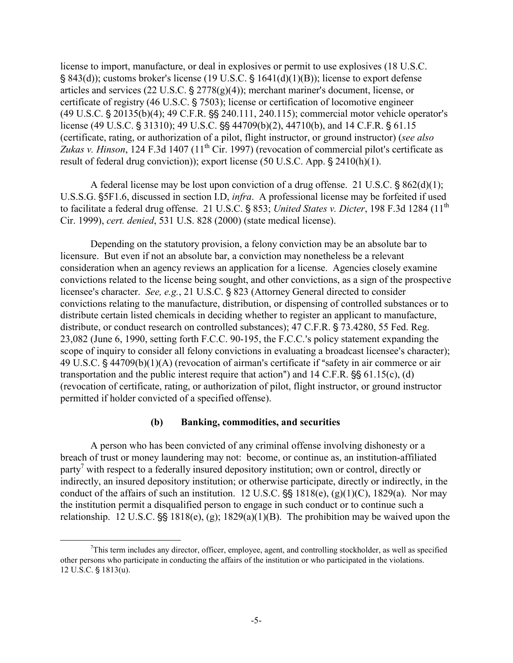license to import, manufacture, or deal in explosives or permit to use explosives (18 U.S.C.  $\S$  843(d)); customs broker's license (19 U.S.C.  $\S$  1641(d)(1)(B)); license to export defense articles and services (22 U.S.C.  $\S$  2778(g)(4)); merchant mariner's document, license, or certificate of registry  $(46 \text{ U.S.C.} \S 7503)$ ; license or certification of locomotive engineer  $(49 \text{ U.S.C.} \$   $20135(b)(4)$ ;  $49 \text{ C.F.R.} \$   $\$   $240.111$ ,  $240.115$ ); commercial motor vehicle operator's license (49 U.S.C. § 31310); 49 U.S.C.  $\frac{1}{5}$  44709(b)(2), 44710(b), and 14 C.F.R. § 61.15 (certificate, rating, or authorization of a pilot, flight instructor, or ground instructor) (*see also*   $Zukas v. Hinson, 124 F.3d 1407 (11<sup>th</sup> Cir. 1997)$  (revocation of commercial pilot's certificate as result of federal drug conviction)); export license (50 U.S.C. App.  $\S$  2410(h)(1).

A federal license may be lost upon conviction of a drug offense. 21 U.S.C.  $\frac{8}{6}$  862(d)(1); U.S.S.G. '5F1.6, discussed in section I.D, *infra*. A professional license may be forfeited if used to facilitate a federal drug offense. 21 U.S.C. § 853; *United States v. Dicter*, 198 F.3d 1284 (11<sup>th</sup> Cir. 1999), *cert. denied*, 531 U.S. 828 (2000) (state medical license).

Depending on the statutory provision, a felony conviction may be an absolute bar to licensure. But even if not an absolute bar, a conviction may nonetheless be a relevant consideration when an agency reviews an application for a license. Agencies closely examine convictions related to the license being sought, and other convictions, as a sign of the prospective licensee's character. *See, e.g.*, 21 U.S.C. § 823 (Attorney General directed to consider convictions relating to the manufacture, distribution, or dispensing of controlled substances or to distribute certain listed chemicals in deciding whether to register an applicant to manufacture, distribute, or conduct research on controlled substances);  $47$  C.F.R. § 73.4280, 55 Fed. Reg. 23,082 (June 6, 1990, setting forth F.C.C. 90-195, the F.C.C.'s policy statement expanding the scope of inquiry to consider all felony convictions in evaluating a broadcast licensee's character); 49 U.S.C.  $\S$  44709(b)(1)(A) (revocation of airman's certificate if "safety in air commerce or air transportation and the public interest require that action") and  $14$  C.F.R.  $\frac{55}{56}$  61.15(c), (d) (revocation of certificate, rating, or authorization of pilot, flight instructor, or ground instructor permitted if holder convicted of a specified offense).

#### **(b) Banking, commodities, and securities**

A person who has been convicted of any criminal offense involving dishonesty or a breach of trust or money laundering may not: become, or continue as, an institution-affiliated party<sup>7</sup> with respect to a federally insured depository institution; own or control, directly or indirectly, an insured depository institution; or otherwise participate, directly or indirectly, in the conduct of the affairs of such an institution. 12 U.S.C.  $\S$ § 1818(e), (g)(1)(C), 1829(a). Nor may the institution permit a disqualified person to engage in such conduct or to continue such a relationship. 12 U.S.C.  $\S$  1818(e), (g); 1829(a)(1)(B). The prohibition may be waived upon the

<span id="page-6-0"></span> <sup>7</sup>  $T$ This term includes any director, officer, employee, agent, and controlling stockholder, as well as specified other persons who participate in conducting the affairs of the institution or who participated in the violations.  $12$  U.S.C.  $\S$   $1813(u)$ .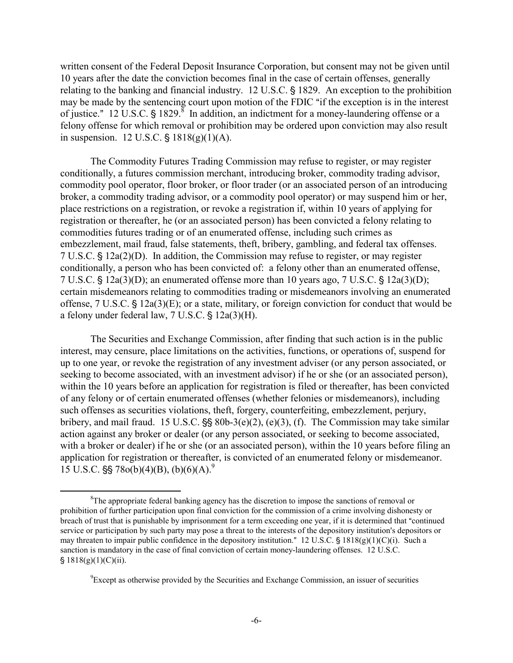<span id="page-7-1"></span>written consent of the Federal Deposit Insurance Corporation, but consent may not be given until 10 years after the date the conviction becomes final in the case of certain offenses, generally relating to the banking and financial industry. 12 U.S.C. § 1829. An exception to the prohibition may be made by the sentencing court upon motion of the FDIC "if the exception is in the interest of justice." 12 U.S.C. § 1829.<sup>8</sup> In addition, an indictment for a money-laundering offense or a felony offense for which removal or prohibition may be ordered upon conviction may also result in suspension.  $12 \text{ U.S.C. }$ §  $1818(g)(1)(A)$ .

The Commodity Futures Trading Commission may refuse to register, or may register conditionally, a futures commission merchant, introducing broker, commodity trading advisor, commodity pool operator, floor broker, or floor trader (or an associated person of an introducing broker, a commodity trading advisor, or a commodity pool operator) or may suspend him or her, place restrictions on a registration, or revoke a registration if, within 10 years of applying for registration or thereafter, he (or an associated person) has been convicted a felony relating to commodities futures trading or of an enumerated offense, including such crimes as embezzlement, mail fraud, false statements, theft, bribery, gambling, and federal tax offenses.  $7 \text{ U.S.C.}$   $\frac{1}{2}$  12a(2)(D). In addition, the Commission may refuse to register, or may register conditionally, a person who has been convicted of: a felony other than an enumerated offense, 7 U.S.C.  $\frac{5}{3}$  12a(3)(D); an enumerated offense more than 10 years ago, 7 U.S.C.  $\frac{5}{3}$  12a(3)(D); certain misdemeanors relating to commodities trading or misdemeanors involving an enumerated offense,  $7 \text{ U.S.C. } $12a(3)(E)$ ; or a state, military, or foreign conviction for conduct that would be a felony under federal law,  $7 U.S.C. \$ §  $12a(3)(H)$ .

The Securities and Exchange Commission, after finding that such action is in the public interest, may censure, place limitations on the activities, functions, or operations of, suspend for up to one year, or revoke the registration of any investment adviser (or any person associated, or seeking to become associated, with an investment advisor) if he or she (or an associated person), within the 10 years before an application for registration is filed or thereafter, has been convicted of any felony or of certain enumerated offenses (whether felonies or misdemeanors), including such offenses as securities violations, theft, forgery, counterfeiting, embezzlement, perjury, bribery, and mail fraud. 15 U.S.C.  $\S$  80b-3(e)(2), (e)(3), (f). The Commission may take similar action against any broker or dealer (or any person associated, or seeking to become associated, with a broker or dealer) if he or she (or an associated person), within the 10 years before filing an application for registration or thereafter, is convicted of an enumerated felony or misdemeanor. 15 U.S.C.  $\S$  78o(b)(4)(B), (b)(6)(A).<sup>9</sup>

<span id="page-7-0"></span> $\frac{1}{8}$  ${}^{8}$ The appropriate federal banking agency has the discretion to impose the sanctions of removal or prohibition of further participation upon final conviction for the commission of a crime involving dishonesty or breach of trust that is punishable by imprisonment for a term exceeding one year, if it is determined that "continued service or participation by such party may pose a threat to the interests of the depository institution's depositors or may threaten to impair public confidence in the depository institution." 12 U.S.C.  $\S$  1818(g)(1)(C)(i). Such a sanction is mandatory in the case of final conviction of certain money-laundering offenses. 12 U.S.C.  $$1818(g)(1)(C)(ii).$ 

<sup>&</sup>lt;sup>9</sup> Except as otherwise provided by the Securities and Exchange Commission, an issuer of securities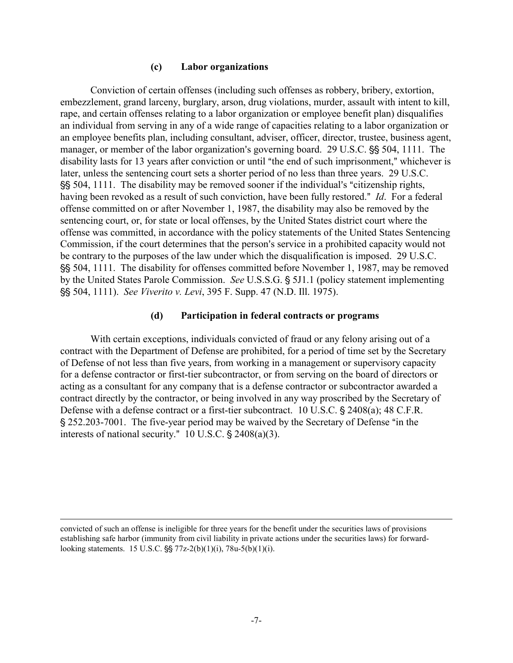#### **(c) Labor organizations**

Conviction of certain offenses (including such offenses as robbery, bribery, extortion, embezzlement, grand larceny, burglary, arson, drug violations, murder, assault with intent to kill, rape, and certain offenses relating to a labor organization or employee benefit plan) disqualifies an individual from serving in any of a wide range of capacities relating to a labor organization or an employee benefits plan, including consultant, adviser, officer, director, trustee, business agent, manager, or member of the labor organization's governing board. 29 U.S.C.  $\frac{155}{1111}$ . The disability lasts for 13 years after conviction or until "the end of such imprisonment," whichever is later, unless the sentencing court sets a shorter period of no less than three years. 29 U.S.C. \$\$ 504, 1111. The disability may be removed sooner if the individual's "citizenship rights, having been revoked as a result of such conviction, have been fully restored." *Id.* For a federal offense committed on or after November 1, 1987, the disability may also be removed by the sentencing court, or, for state or local offenses, by the United States district court where the offense was committed, in accordance with the policy statements of the United States Sentencing Commission, if the court determines that the person's service in a prohibited capacity would not be contrary to the purposes of the law under which the disqualification is imposed. 29 U.S.C. SS 504, 1111. The disability for offenses committed before November 1, 1987, may be removed by the United States Parole Commission. *See* U.S.S.G. § 5J1.1 (policy statement implementing '' 504, 1111). *See Viverito v. Levi*, 395 F. Supp. 47 (N.D. Ill. 1975).

#### **(d) Participation in federal contracts or programs**

With certain exceptions, individuals convicted of fraud or any felony arising out of a contract with the Department of Defense are prohibited, for a period of time set by the Secretary of Defense of not less than five years, from working in a management or supervisory capacity for a defense contractor or first-tier subcontractor, or from serving on the board of directors or acting as a consultant for any company that is a defense contractor or subcontractor awarded a contract directly by the contractor, or being involved in any way proscribed by the Secretary of Defense with a defense contract or a first-tier subcontract. 10 U.S.C. § 2408(a); 48 C.F.R. § 252.203-7001. The five-year period may be waived by the Secretary of Defense "in the interests of national security."  $10$  U.S.C.  $\S$  2408(a)(3).

convicted of such an offense is ineligible for three years for the benefit under the securities laws of provisions establishing safe harbor (immunity from civil liability in private actions under the securities laws) for forwardlooking statements. 15 U.S.C.  $\S$  77z-2(b)(1)(i), 78u-5(b)(1)(i).

<u>.</u>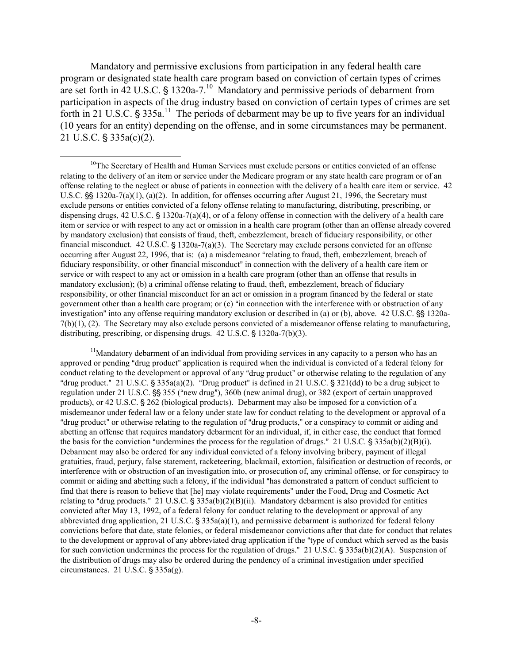Mandatory and permissive exclusions from participation in any federal health care program or designated state health care program based on conviction of certain types of crimes are set forth in 42 U.S.C.  $\frac{1320a-7^{10}}{2}$  Mandatory and permissive periods of debarment from participation in aspects of the drug industry based on conviction of certain types of crimes are set forth in 21 U.S.C.  $\hat{S}$  335a.<sup>11</sup> The periods of debarment may be up to five years for an individual (10 years for an entity) depending on the offense, and in some circumstances may be permanent.  $21 \text{ U.S.C. }$ §  $335a(c)(2)$ .

<span id="page-9-1"></span> $<sup>11</sup>$ Mandatory debarment of an individual from providing services in any capacity to a person who has an</sup> approved or pending "drug product" application is required when the individual is convicted of a federal felony for conduct relating to the development or approval of any "drug product" or otherwise relating to the regulation of any "drug product." 21 U.S.C. § 335a(a)(2). "Drug product" is defined in 21 U.S.C. § 321(dd) to be a drug subject to regulation under 21 U.S.C.  $\frac{65}{95}$  355 ("new drug"), 360b (new animal drug), or 382 (export of certain unapproved products), or 42 U.S.C. § 262 (biological products). Debarment may also be imposed for a conviction of a misdemeanor under federal law or a felony under state law for conduct relating to the development or approval of a "drug product" or otherwise relating to the regulation of "drug products," or a conspiracy to commit or aiding and abetting an offense that requires mandatory debarment for an individual, if, in either case, the conduct that formed the basis for the conviction "undermines the process for the regulation of drugs."  $21$  U.S.C.  $\frac{2}{3}$  335a(b)(2)(B)(i). Debarment may also be ordered for any individual convicted of a felony involving bribery, payment of illegal gratuities, fraud, perjury, false statement, racketeering, blackmail, extortion, falsification or destruction of records, or interference with or obstruction of an investigation into, or prosecution of, any criminal offense, or for conspiracy to commit or aiding and abetting such a felony, if the individual "has demonstrated a pattern of conduct sufficient to find that there is reason to believe that [he] may violate requirements" under the Food, Drug and Cosmetic Act relating to "drug products."  $21 \text{ U.S.C.} \text{ } \text{\$} 335a(b)(2)(B)(ii)$ . Mandatory debarment is also provided for entities convicted after May 13, 1992, of a federal felony for conduct relating to the development or approval of any abbreviated drug application, 21 U.S.C.  $\S$  335a(a)(1), and permissive debarment is authorized for federal felony convictions before that date, state felonies, or federal misdemeanor convictions after that date for conduct that relates to the development or approval of any abbreviated drug application if the "type of conduct which served as the basis for such conviction undermines the process for the regulation of drugs." 21 U.S.C.  $\frac{\text{S}}{3}$  35a(b)(2)(A). Suspension of the distribution of drugs may also be ordered during the pendency of a criminal investigation under specified circumstances.  $21$  U.S.C.  $\S$  335a(g).

<span id="page-9-0"></span> $10$ The Secretary of Health and Human Services must exclude persons or entities convicted of an offense relating to the delivery of an item or service under the Medicare program or any state health care program or of an offense relating to the neglect or abuse of patients in connection with the delivery of a health care item or service. 42 U.S.C.  $\S$  1320a-7(a)(1), (a)(2). In addition, for offenses occurring after August 21, 1996, the Secretary must exclude persons or entities convicted of a felony offense relating to manufacturing, distributing, prescribing, or dispensing drugs,  $42 \text{ U.S.C. } \$ 1320a-7(a)(4)$ , or of a felony offense in connection with the delivery of a health care item or service or with respect to any act or omission in a health care program (other than an offense already covered by mandatory exclusion) that consists of fraud, theft, embezzlement, breach of fiduciary responsibility, or other financial misconduct.  $42$  U.S.C. § 1320a-7(a)(3). The Secretary may exclude persons convicted for an offense occurring after August 22, 1996, that is: (a) a misdemeanor "relating to fraud, theft, embezzlement, breach of fiduciary responsibility, or other financial misconduct" in connection with the delivery of a health care item or service or with respect to any act or omission in a health care program (other than an offense that results in mandatory exclusion); (b) a criminal offense relating to fraud, theft, embezzlement, breach of fiduciary responsibility, or other financial misconduct for an act or omission in a program financed by the federal or state government other than a health care program; or (c) "in connection with the interference with or obstruction of any investigation" into any offense requiring mandatory exclusion or described in (a) or (b), above.  $42 \text{ U.S.C.}$   $\frac{656}{1320}$ a-7(b)(1), (2). The Secretary may also exclude persons convicted of a misdemeanor offense relating to manufacturing, distributing, prescribing, or dispensing drugs.  $42 \text{ U.S.C.}$  \$ 1320a-7(b)(3).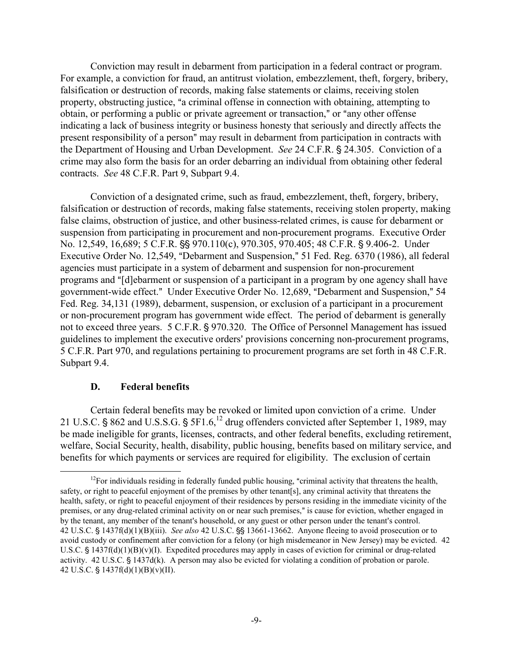Conviction may result in debarment from participation in a federal contract or program. For example, a conviction for fraud, an antitrust violation, embezzlement, theft, forgery, bribery, falsification or destruction of records, making false statements or claims, receiving stolen property, obstructing justice, "a criminal offense in connection with obtaining, attempting to obtain, or performing a public or private agreement or transaction," or "any other offense indicating a lack of business integrity or business honesty that seriously and directly affects the present responsibility of a person" may result in debarment from participation in contracts with the Department of Housing and Urban Development. *See* 24 C.F.R. § 24.305. Conviction of a crime may also form the basis for an order debarring an individual from obtaining other federal contracts. *See* 48 C.F.R. Part 9, Subpart 9.4.

Conviction of a designated crime, such as fraud, embezzlement, theft, forgery, bribery, falsification or destruction of records, making false statements, receiving stolen property, making false claims, obstruction of justice, and other business-related crimes, is cause for debarment or suspension from participating in procurement and non-procurement programs. Executive Order No. 12,549, 16,689; 5 C.F.R. §§ 970.110(c), 970.305, 970.405; 48 C.F.R. § 9.406-2. Under Executive Order No. 12,549, "Debarment and Suspension," 51 Fed. Reg. 6370 (1986), all federal agencies must participate in a system of debarment and suspension for non-procurement programs and "[d]ebarment or suspension of a participant in a program by one agency shall have government-wide effect." Under Executive Order No. 12,689, "Debarment and Suspension," 54 Fed. Reg. 34,131 (1989), debarment, suspension, or exclusion of a participant in a procurement or non-procurement program has government wide effect. The period of debarment is generally not to exceed three years. 5 C.F.R. § 970.320. The Office of Personnel Management has issued guidelines to implement the executive orders' provisions concerning non-procurement programs, 5 C.F.R. Part 970, and regulations pertaining to procurement programs are set forth in 48 C.F.R. Subpart 9.4.

#### **D. Federal benefits**

Certain federal benefits may be revoked or limited upon conviction of a crime. Under 21 U.S.C. § 862 and U.S.S.G. § 5F1.6,<sup>12</sup> drug offenders convicted after September 1, 1989, may be made ineligible for grants, licenses, contracts, and other federal benefits, excluding retirement, welfare, Social Security, health, disability, public housing, benefits based on military service, and benefits for which payments or services are required for eligibility. The exclusion of certain

<span id="page-10-0"></span><sup>&</sup>lt;sup>12</sup>For individuals residing in federally funded public housing, "criminal activity that threatens the health, safety, or right to peaceful enjoyment of the premises by other tenant[s], any criminal activity that threatens the health, safety, or right to peaceful enjoyment of their residences by persons residing in the immediate vicinity of the premises, or any drug-related criminal activity on or near such premises," is cause for eviction, whether engaged in by the tenant, any member of the tenant's household, or any guest or other person under the tenant's control. 42 U.S.C. § 1437f(d)(1)(B)(iii). *See also* 42 U.S.C. § 13661-13662. Anyone fleeing to avoid prosecution or to avoid custody or confinement after conviction for a felony (or high misdemeanor in New Jersey) may be evicted. 42 U.S.C.  $\frac{1}{2}$  1437f(d)(1)(B)(v)(I). Expedited procedures may apply in cases of eviction for criminal or drug-related activity.  $42 \text{ U.S.C. } \S 1437d(k)$ . A person may also be evicted for violating a condition of probation or parole. 42 U.S.C.  $$ 1437f(d)(1)(B)(v)(II).$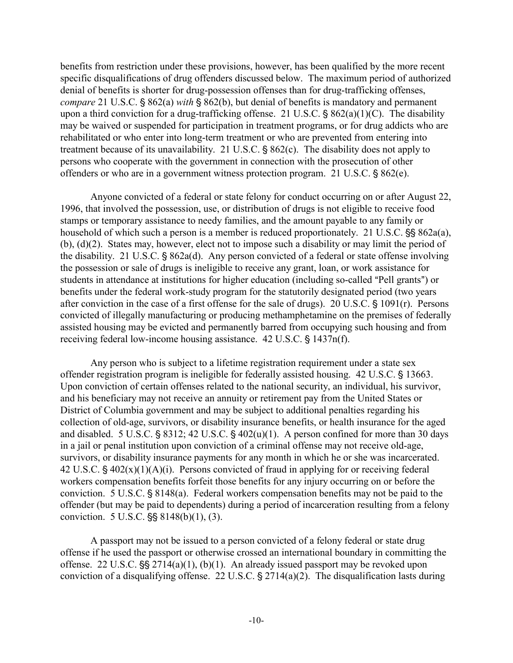benefits from restriction under these provisions, however, has been qualified by the more recent specific disqualifications of drug offenders discussed below. The maximum period of authorized denial of benefits is shorter for drug-possession offenses than for drug-trafficking offenses, *compare* 21 U.S.C. § 862(a) *with* § 862(b), but denial of benefits is mandatory and permanent upon a third conviction for a drug-trafficking offense. 21 U.S.C.  $\S 862(a)(1)(C)$ . The disability may be waived or suspended for participation in treatment programs, or for drug addicts who are rehabilitated or who enter into long-term treatment or who are prevented from entering into treatment because of its unavailability. 21 U.S.C.  $\S 862(c)$ . The disability does not apply to persons who cooperate with the government in connection with the prosecution of other offenders or who are in a government witness protection program. 21 U.S.C.  $\S 862(e)$ .

Anyone convicted of a federal or state felony for conduct occurring on or after August 22, 1996, that involved the possession, use, or distribution of drugs is not eligible to receive food stamps or temporary assistance to needy families, and the amount payable to any family or household of which such a person is a member is reduced proportionately. 21 U.S.C.  $\$ §§ 862a(a), (b), (d)(2). States may, however, elect not to impose such a disability or may limit the period of the disability. 21 U.S.C.  $\S$  862a(d). Any person convicted of a federal or state offense involving the possession or sale of drugs is ineligible to receive any grant, loan, or work assistance for students in attendance at institutions for higher education (including so-called "Pell grants") or benefits under the federal work-study program for the statutorily designated period (two years after conviction in the case of a first offense for the sale of drugs). 20 U.S.C.  $\frac{1091(r)}{r}$ . Persons convicted of illegally manufacturing or producing methamphetamine on the premises of federally assisted housing may be evicted and permanently barred from occupying such housing and from receiving federal low-income housing assistance.  $42 \text{ U.S.C.}$  §  $1437n(f)$ .

Any person who is subject to a lifetime registration requirement under a state sex offender registration program is ineligible for federally assisted housing. 42 U.S.C. § 13663. Upon conviction of certain offenses related to the national security, an individual, his survivor, and his beneficiary may not receive an annuity or retirement pay from the United States or District of Columbia government and may be subject to additional penalties regarding his collection of old-age, survivors, or disability insurance benefits, or health insurance for the aged and disabled. 5 U.S.C.  $\frac{6}{5}$  8312; 42 U.S.C.  $\frac{6}{5}$  402(u)(1). A person confined for more than 30 days in a jail or penal institution upon conviction of a criminal offense may not receive old-age, survivors, or disability insurance payments for any month in which he or she was incarcerated. 42 U.S.C.  $\frac{6}{9}$  402(x)(1)(A)(i). Persons convicted of fraud in applying for or receiving federal workers compensation benefits forfeit those benefits for any injury occurring on or before the conviction. 5 U.S.C.  $\S 8148(a)$ . Federal workers compensation benefits may not be paid to the offender (but may be paid to dependents) during a period of incarceration resulting from a felony conviction.  $5 \text{ U.S.C.}$   $\S$ §  $8148(b)(1)$ , (3).

A passport may not be issued to a person convicted of a felony federal or state drug offense if he used the passport or otherwise crossed an international boundary in committing the offense. 22 U.S.C.  $\frac{55}{5}$  2714(a)(1), (b)(1). An already issued passport may be revoked upon conviction of a disqualifying offense. 22 U.S.C.  $\S 2714(a)(2)$ . The disqualification lasts during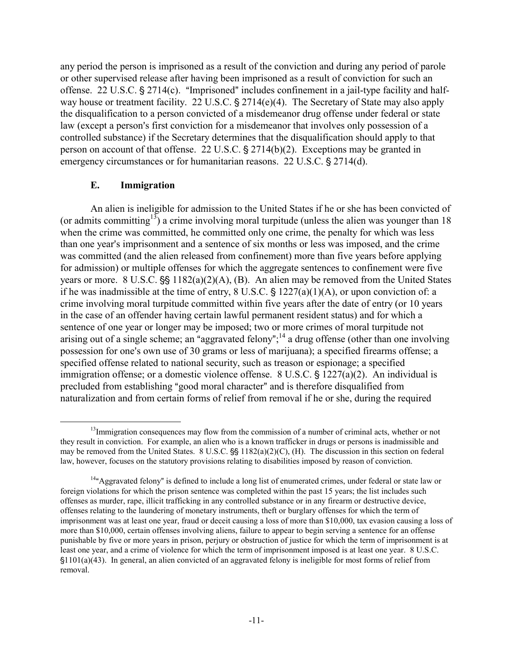any period the person is imprisoned as a result of the conviction and during any period of parole or other supervised release after having been imprisoned as a result of conviction for such an offense. 22 U.S.C.  $\S 2714(c)$ . "Imprisoned" includes confinement in a jail-type facility and halfway house or treatment facility. 22 U.S.C.  $\S 2714(e)(4)$ . The Secretary of State may also apply the disqualification to a person convicted of a misdemeanor drug offense under federal or state law (except a person's first conviction for a misdemeanor that involves only possession of a controlled substance) if the Secretary determines that the disqualification should apply to that person on account of that offense. 22 U.S.C.  $\S 2714(b)(2)$ . Exceptions may be granted in emergency circumstances or for humanitarian reasons. 22 U.S.C. § 2714(d).

### **E. Immigration**

An alien is ineligible for admission to the United States if he or she has been convicted of (or admits committing<sup>13</sup>) a crime involving moral turpitude (unless the alien was younger than 18 when the crime was committed, he committed only one crime, the penalty for which was less than one year's imprisonment and a sentence of six months or less was imposed, and the crime was committed (and the alien released from confinement) more than five years before applying for admission) or multiple offenses for which the aggregate sentences to confinement were five years or more.  $8 \text{ U.S.C.}$   $\frac{65}{1182(a)(2)(\text{A})}$ , (B). An alien may be removed from the United States if he was inadmissible at the time of entry,  $8 \text{ U.S.C.} \$   $1227(a)(1)(A)$ , or upon conviction of: a crime involving moral turpitude committed within five years after the date of entry (or 10 years in the case of an offender having certain lawful permanent resident status) and for which a sentence of one year or longer may be imposed; two or more crimes of moral turpitude not arising out of a single scheme; an "aggravated felony";<sup>14</sup> a drug offense (other than one involving possession for one's own use of 30 grams or less of marijuana); a specified firearms offense; a specified offense related to national security, such as treason or espionage; a specified immigration offense; or a domestic violence offense.  $8 \text{ U.S.C.}$   $\frac{1227(a)(2)}{2}$ . An individual is precluded from establishing "good moral character" and is therefore disqualified from naturalization and from certain forms of relief from removal if he or she, during the required

<span id="page-12-0"></span> $<sup>13</sup>$ Immigration consequences may flow from the commission of a number of criminal acts, whether or not</sup> they result in conviction. For example, an alien who is a known trafficker in drugs or persons is inadmissible and may be removed from the United States. 8 U.S.C.  $\S$  1182(a)(2)(C), (H). The discussion in this section on federal law, however, focuses on the statutory provisions relating to disabilities imposed by reason of conviction.

<span id="page-12-1"></span><sup>&</sup>lt;sup>14a</sup>Aggravated felony" is defined to include a long list of enumerated crimes, under federal or state law or foreign violations for which the prison sentence was completed within the past 15 years; the list includes such offenses as murder, rape, illicit trafficking in any controlled substance or in any firearm or destructive device, offenses relating to the laundering of monetary instruments, theft or burglary offenses for which the term of imprisonment was at least one year, fraud or deceit causing a loss of more than \$10,000, tax evasion causing a loss of more than \$10,000, certain offenses involving aliens, failure to appear to begin serving a sentence for an offense punishable by five or more years in prison, perjury or obstruction of justice for which the term of imprisonment is at least one year, and a crime of violence for which the term of imprisonment imposed is at least one year. 8 U.S.C. '1101(a)(43). In general, an alien convicted of an aggravated felony is ineligible for most forms of relief from removal.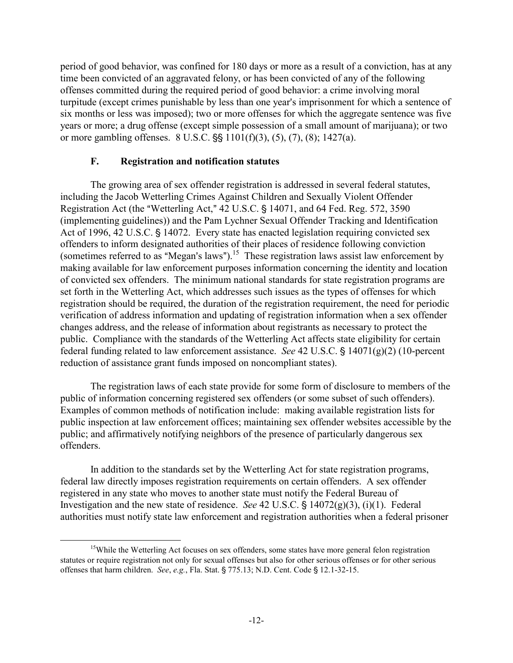period of good behavior, was confined for 180 days or more as a result of a conviction, has at any time been convicted of an aggravated felony, or has been convicted of any of the following offenses committed during the required period of good behavior: a crime involving moral turpitude (except crimes punishable by less than one year's imprisonment for which a sentence of six months or less was imposed); two or more offenses for which the aggregate sentence was five years or more; a drug offense (except simple possession of a small amount of marijuana); or two or more gambling offenses.  $8 \text{ U.S.C.}$   $\S$ §  $1101(f)(3)$ ,  $(5)$ ,  $(7)$ ,  $(8)$ ;  $1427(a)$ .

# **F. Registration and notification statutes**

The growing area of sex offender registration is addressed in several federal statutes, including the Jacob Wetterling Crimes Against Children and Sexually Violent Offender Registration Act (the "Wetterling Act,"  $42$  U.S.C.  $\frac{6}{9}$  14071, and 64 Fed. Reg. 572, 3590 (implementing guidelines)) and the Pam Lychner Sexual Offender Tracking and Identification Act of 1996, 42 U.S.C. § 14072. Every state has enacted legislation requiring convicted sex offenders to inform designated authorities of their places of residence following conviction (sometimes referred to as "Megan's laws").<sup>15</sup> These registration laws assist law enforcement by making available for law enforcement purposes information concerning the identity and location of convicted sex offenders. The minimum national standards for state registration programs are set forth in the Wetterling Act, which addresses such issues as the types of offenses for which registration should be required, the duration of the registration requirement, the need for periodic verification of address information and updating of registration information when a sex offender changes address, and the release of information about registrants as necessary to protect the public. Compliance with the standards of the Wetterling Act affects state eligibility for certain federal funding related to law enforcement assistance. *See* 42 U.S.C.  $\frac{14071(g)(2)}{10\text{-percent}}$ reduction of assistance grant funds imposed on noncompliant states).

The registration laws of each state provide for some form of disclosure to members of the public of information concerning registered sex offenders (or some subset of such offenders). Examples of common methods of notification include: making available registration lists for public inspection at law enforcement offices; maintaining sex offender websites accessible by the public; and affirmatively notifying neighbors of the presence of particularly dangerous sex offenders.

In addition to the standards set by the Wetterling Act for state registration programs, federal law directly imposes registration requirements on certain offenders. A sex offender registered in any state who moves to another state must notify the Federal Bureau of Investigation and the new state of residence. *See* 42 U.S.C.  $\S$  14072(g)(3), (i)(1). Federal authorities must notify state law enforcement and registration authorities when a federal prisoner

<span id="page-13-0"></span><sup>&</sup>lt;sup>15</sup>While the Wetterling Act focuses on sex offenders, some states have more general felon registration statutes or require registration not only for sexual offenses but also for other serious offenses or for other serious offenses that harm children. *See*, *e.g.*, Fla. Stat. § 775.13; N.D. Cent. Code § 12.1-32-15.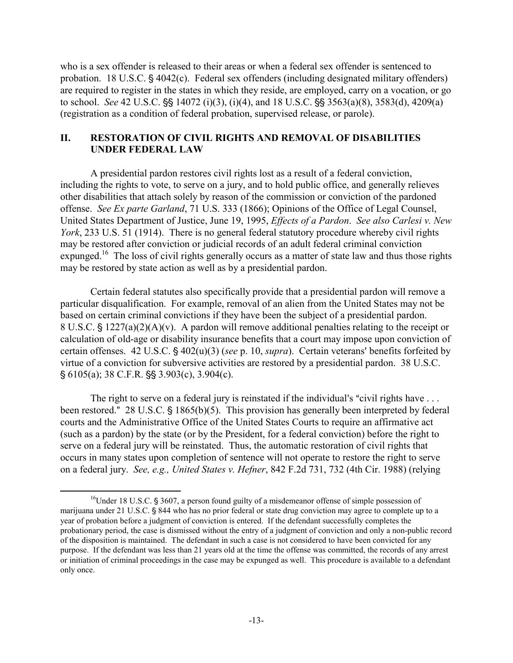who is a sex offender is released to their areas or when a federal sex offender is sentenced to probation. 18 U.S.C.  $\frac{6}{5}$  4042(c). Federal sex offenders (including designated military offenders) are required to register in the states in which they reside, are employed, carry on a vocation, or go to school. *See* 42 U.S.C.  $\S$  14072 (i)(3), (i)(4), and 18 U.S.C.  $\S$  3563(a)(8), 3583(d), 4209(a) (registration as a condition of federal probation, supervised release, or parole).

## **II. RESTORATION OF CIVIL RIGHTS AND REMOVAL OF DISABILITIES UNDER FEDERAL LAW**

A presidential pardon restores civil rights lost as a result of a federal conviction, including the rights to vote, to serve on a jury, and to hold public office, and generally relieves other disabilities that attach solely by reason of the commission or conviction of the pardoned offense. *See Ex parte Garland*, 71 U.S. 333 (1866); Opinions of the Office of Legal Counsel, United States Department of Justice, June 19, 1995, *Effects of a Pardon*. *See also Carlesi v. New York*, 233 U.S. 51 (1914). There is no general federal statutory procedure whereby civil rights may be restored after conviction or judicial records of an adult federal criminal conviction expunged.<sup>16</sup> The loss of civil rights generally occurs as a matter of state law and thus those rights may be restored by state action as well as by a presidential pardon.

Certain federal statutes also specifically provide that a presidential pardon will remove a particular disqualification. For example, removal of an alien from the United States may not be based on certain criminal convictions if they have been the subject of a presidential pardon. 8 U.S.C.  $\frac{1}{2}$  1227(a)(2)(A)(v). A pardon will remove additional penalties relating to the receipt or calculation of old-age or disability insurance benefits that a court may impose upon conviction of certain offenses.  $42 \text{ U.S.C.}$   $\frac{6}{9}$   $402(u)(3)$  (*see* p. 10, *supra*). Certain veterans' benefits forfeited by virtue of a conviction for subversive activities are restored by a presidential pardon. 38 U.S.C.  $\S$  6105(a); 38 C.F.R.  $\S$  $\S$  3.903(c), 3.904(c).

The right to serve on a federal jury is reinstated if the individual's "civil rights have  $\dots$ been restored." 28 U.S.C.  $\frac{1865(b)(5)}{28}$ . This provision has generally been interpreted by federal courts and the Administrative Office of the United States Courts to require an affirmative act (such as a pardon) by the state (or by the President, for a federal conviction) before the right to serve on a federal jury will be reinstated. Thus, the automatic restoration of civil rights that occurs in many states upon completion of sentence will not operate to restore the right to serve on a federal jury. *See, e.g., United States v. Hefner*, 842 F.2d 731, 732 (4th Cir. 1988) (relying

<span id="page-14-0"></span> $^{16}$ Under 18 U.S.C. § 3607, a person found guilty of a misdemeanor offense of simple possession of marijuana under 21 U.S.C. § 844 who has no prior federal or state drug conviction may agree to complete up to a year of probation before a judgment of conviction is entered. If the defendant successfully completes the probationary period, the case is dismissed without the entry of a judgment of conviction and only a non-public record of the disposition is maintained. The defendant in such a case is not considered to have been convicted for any purpose. If the defendant was less than 21 years old at the time the offense was committed, the records of any arrest or initiation of criminal proceedings in the case may be expunged as well. This procedure is available to a defendant only once.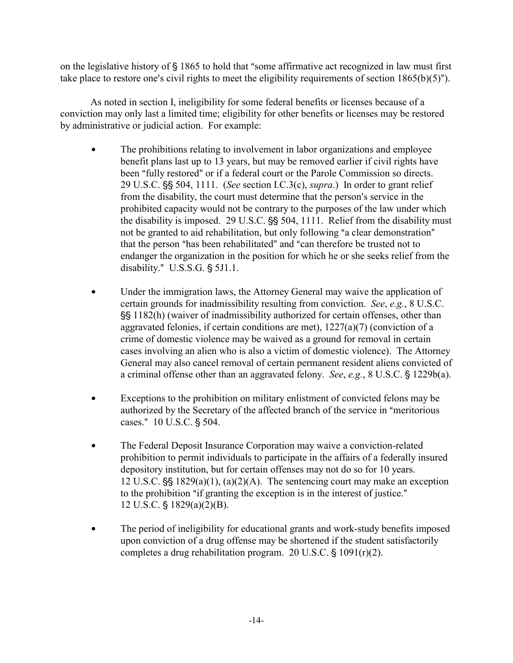on the legislative history of  $\S$  1865 to hold that "some affirmative act recognized in law must first take place to restore one's civil rights to meet the eligibility requirements of section  $1865(b)(5)$ ").

As noted in section I, ineligibility for some federal benefits or licenses because of a conviction may only last a limited time; eligibility for other benefits or licenses may be restored by administrative or judicial action. For example:

- The prohibitions relating to involvement in labor organizations and employee benefit plans last up to 13 years, but may be removed earlier if civil rights have been "fully restored" or if a federal court or the Parole Commission so directs. 29 U.S.C.  $\frac{55}{504}$ , 1111. (*See* section I.C.3(c), *supra*.) In order to grant relief from the disability, the court must determine that the person's service in the prohibited capacity would not be contrary to the purposes of the law under which the disability is imposed. 29 U.S.C.  $\S$ § 504, 1111. Relief from the disability must not be granted to aid rehabilitation, but only following "a clear demonstration" that the person "has been rehabilitated" and "can therefore be trusted not to endanger the organization in the position for which he or she seeks relief from the disability."  $U.S.S.G. \S 5J1.1$ .
- Under the immigration laws, the Attorney General may waive the application of certain grounds for inadmissibility resulting from conviction. *See*, *e.g.*, 8 U.S.C. '' 1182(h) (waiver of inadmissibility authorized for certain offenses, other than aggravated felonies, if certain conditions are met),  $1227(a)(7)$  (conviction of a crime of domestic violence may be waived as a ground for removal in certain cases involving an alien who is also a victim of domestic violence). The Attorney General may also cancel removal of certain permanent resident aliens convicted of a criminal offense other than an aggravated felony. *See*, *e.g.*, 8 U.S.C. § 1229b(a).
- Exceptions to the prohibition on military enlistment of convicted felons may be authorized by the Secretary of the affected branch of the service in "meritorious" cases." 10 U.S.C. § 504.
- The Federal Deposit Insurance Corporation may waive a conviction-related prohibition to permit individuals to participate in the affairs of a federally insured depository institution, but for certain offenses may not do so for 10 years. 12 U.S.C.  $\S$  1829(a)(1), (a)(2)(A). The sentencing court may make an exception to the prohibition "if granting the exception is in the interest of justice." 12 U.S.C.  $\frac{1829(a)(2)(B)}{B}$ .
- The period of ineligibility for educational grants and work-study benefits imposed upon conviction of a drug offense may be shortened if the student satisfactorily completes a drug rehabilitation program. 20 U.S.C.  $\S$  1091(r)(2).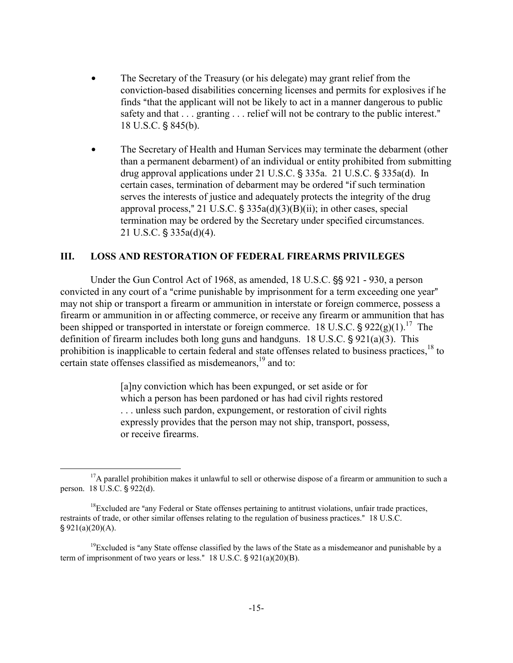- The Secretary of the Treasury (or his delegate) may grant relief from the conviction-based disabilities concerning licenses and permits for explosives if he finds "that the applicant will not be likely to act in a manner dangerous to public safety and that  $\dots$  granting  $\dots$  relief will not be contrary to the public interest." 18 U.S.C. § 845(b).
- The Secretary of Health and Human Services may terminate the debarment (other than a permanent debarment) of an individual or entity prohibited from submitting drug approval applications under  $21$  U.S.C.  $\S$  335a.  $21$  U.S.C.  $\S$  335a(d). In certain cases, termination of debarment may be ordered "if such termination serves the interests of justice and adequately protects the integrity of the drug approval process," 21 U.S.C.  $\frac{1}{5}$  335a(d)(3)(B)(ii); in other cases, special termination may be ordered by the Secretary under specified circumstances.  $21$  U.S.C. § 335a(d)(4).

#### **III. LOSS AND RESTORATION OF FEDERAL FIREARMS PRIVILEGES**

Under the Gun Control Act of 1968, as amended,  $18$  U.S.C.  $\frac{55}{12}$  921 - 930, a person convicted in any court of a "crime punishable by imprisonment for a term exceeding one year" may not ship or transport a firearm or ammunition in interstate or foreign commerce, possess a firearm or ammunition in or affecting commerce, or receive any firearm or ammunition that has been shipped or transported in interstate or foreign commerce. 18 U.S.C.  $\frac{1}{2}$  922(g)(1).<sup>17</sup> The definition of firearm includes both long guns and handguns.  $18 \text{ U.S.C.}$  \$921(a)(3). This prohibition is inapplicable to certain federal and state offenses related to business practices,<sup>18</sup> to certain state offenses classified as misdemeanors,<sup>19</sup> and to:

> [a]ny conviction which has been expunged, or set aside or for which a person has been pardoned or has had civil rights restored . . . unless such pardon, expungement, or restoration of civil rights expressly provides that the person may not ship, transport, possess, or receive firearms.

<span id="page-16-0"></span><sup>&</sup>lt;sup>17</sup>A parallel prohibition makes it unlawful to sell or otherwise dispose of a firearm or ammunition to such a person. 18 U.S.C. § 922(d).

<span id="page-16-1"></span> $18$ Excluded are "any Federal or State offenses pertaining to antitrust violations, unfair trade practices, restraints of trade, or other similar offenses relating to the regulation of business practices." 18 U.S.C.  $§ 921(a)(20)(A).$ 

<span id="page-16-2"></span><sup>&</sup>lt;sup>19</sup>Excluded is "any State offense classified by the laws of the State as a misdemeanor and punishable by a term of imprisonment of two years or less."  $18$  U.S.C.  $\frac{6}{9}$  921(a)(20)(B).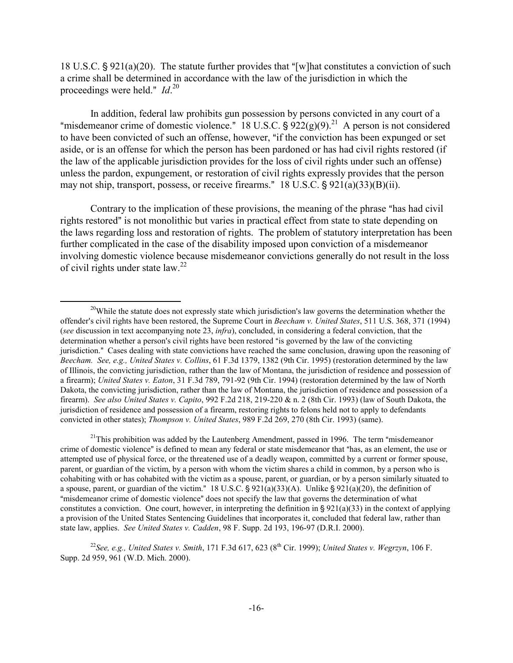18 U.S.C.  $\S 921(a)(20)$ . The statute further provides that "[w]hat constitutes a conviction of such a crime shall be determined in accordance with the law of the jurisdiction in which the proceedings were held." *Id*.<sup>[20](#page-17-0)</sup>

In addition, federal law prohibits gun possession by persons convicted in any court of a "misdemeanor crime of domestic violence." 18 U.S.C.  $\frac{6}{922(g)(9)}^{21}$  A person is not considered to have been convicted of such an offense, however, "if the conviction has been expunged or set aside, or is an offense for which the person has been pardoned or has had civil rights restored (if the law of the applicable jurisdiction provides for the loss of civil rights under such an offense) unless the pardon, expungement, or restoration of civil rights expressly provides that the person may not ship, transport, possess, or receive firearms."  $18 \text{ U.S.C.}$  \$921(a)(33)(B)(ii).

Contrary to the implication of these provisions, the meaning of the phrase "has had civil" rights restored" is not monolithic but varies in practical effect from state to state depending on the laws regarding loss and restoration of rights. The problem of statutory interpretation has been further complicated in the case of the disability imposed upon conviction of a misdemeanor involving domestic violence because misdemeanor convictions generally do not result in the loss of civil rights under state law.<sup>22</sup>

<span id="page-17-1"></span><sup>21</sup>This prohibition was added by the Lautenberg Amendment, passed in 1996. The term "misdemeanor" crime of domestic violence" is defined to mean any federal or state misdemeanor that "has, as an element, the use or attempted use of physical force, or the threatened use of a deadly weapon, committed by a current or former spouse, parent, or guardian of the victim, by a person with whom the victim shares a child in common, by a person who is cohabiting with or has cohabited with the victim as a spouse, parent, or guardian, or by a person similarly situated to a spouse, parent, or guardian of the victim." 18 U.S.C.  $\S 921(a)(33)(A)$ . Unlike  $\S 921(a)(20)$ , the definition of "misdemeanor crime of domestic violence" does not specify the law that governs the determination of what constitutes a conviction. One court, however, in interpreting the definition in  $\S 921(a)(33)$  in the context of applying a provision of the United States Sentencing Guidelines that incorporates it, concluded that federal law, rather than state law, applies. *See United States v. Cadden*, 98 F. Supp. 2d 193, 196-97 (D.R.I. 2000).

<span id="page-17-2"></span><sup>22</sup>See, e.g., United States v. Smith, 171 F.3d 617, 623 (8<sup>th</sup> Cir. 1999); *United States v. Wegrzyn*, 106 F. Supp. 2d 959, 961 (W.D. Mich. 2000).

<span id="page-17-0"></span><sup>&</sup>lt;sup>20</sup>While the statute does not expressly state which jurisdiction's law governs the determination whether the offender's civil rights have been restored, the Supreme Court in *Beecham v. United States*, 511 U.S. 368, 371 (1994) (*see* discussion in text accompanying note 23, *infra*), concluded, in considering a federal conviction, that the determination whether a person's civil rights have been restored "is governed by the law of the convicting jurisdiction." Cases dealing with state convictions have reached the same conclusion, drawing upon the reasoning of *Beecham. See, e.g., United States v. Collins*, 61 F.3d 1379, 1382 (9th Cir. 1995) (restoration determined by the law of Illinois, the convicting jurisdiction, rather than the law of Montana, the jurisdiction of residence and possession of a firearm); *United States v. Eaton*, 31 F.3d 789, 791-92 (9th Cir. 1994) (restoration determined by the law of North Dakota, the convicting jurisdiction, rather than the law of Montana, the jurisdiction of residence and possession of a firearm). *See also United States v. Capito*, 992 F.2d 218, 219-220 & n. 2 (8th Cir. 1993) (law of South Dakota, the jurisdiction of residence and possession of a firearm, restoring rights to felons held not to apply to defendants convicted in other states); *Thompson v. United States*, 989 F.2d 269, 270 (8th Cir. 1993) (same).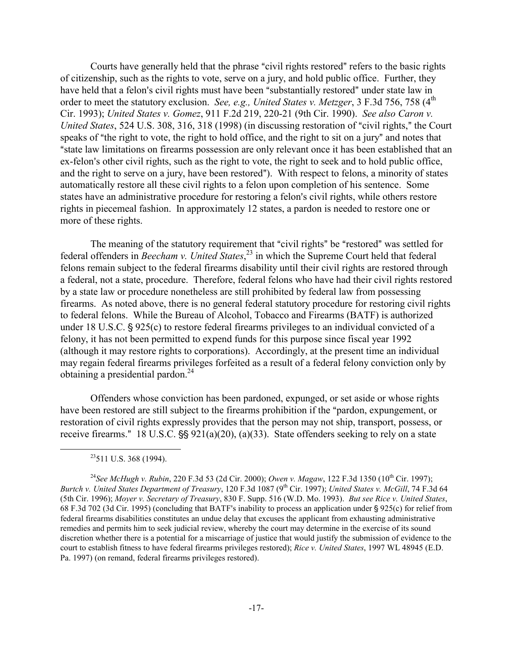Courts have generally held that the phrase "civil rights restored" refers to the basic rights of citizenship, such as the rights to vote, serve on a jury, and hold public office. Further, they have held that a felon's civil rights must have been "substantially restored" under state law in order to meet the statutory exclusion. *See, e.g., United States v. Metzger*, 3 F.3d 756, 758 (4<sup>th</sup>) Cir. 1993); *United States v. Gomez*, 911 F.2d 219, 220-21 (9th Cir. 1990). *See also Caron v. United States*, 524 U.S. 308, 316, 318 (1998) (in discussing restoration of "civil rights," the Court speaks of "the right to vote, the right to hold office, and the right to sit on a jury" and notes that "state law limitations on firearms possession are only relevant once it has been established that an ex-felon's other civil rights, such as the right to vote, the right to seek and to hold public office, and the right to serve on a jury, have been restored"). With respect to felons, a minority of states automatically restore all these civil rights to a felon upon completion of his sentence. Some states have an administrative procedure for restoring a felon's civil rights, while others restore rights in piecemeal fashion. In approximately 12 states, a pardon is needed to restore one or more of these rights.

The meaning of the statutory requirement that "civil rights" be "restored" was settled for federal offenders in *Beecham v. United States*, [23](#page-18-0) in which the Supreme Court held that federal felons remain subject to the federal firearms disability until their civil rights are restored through a federal, not a state, procedure. Therefore, federal felons who have had their civil rights restored by a state law or procedure nonetheless are still prohibited by federal law from possessing firearms. As noted above, there is no general federal statutory procedure for restoring civil rights to federal felons. While the Bureau of Alcohol, Tobacco and Firearms (BATF) is authorized under 18 U.S.C.  $\frac{6}{5}$  925(c) to restore federal firearms privileges to an individual convicted of a felony, it has not been permitted to expend funds for this purpose since fiscal year 1992 (although it may restore rights to corporations). Accordingly, at the present time an individual may regain federal firearms privileges forfeited as a result of a federal felony conviction only by obtaining a presidential pardon.<sup>[24](#page-18-1)</sup>

Offenders whose conviction has been pardoned, expunged, or set aside or whose rights have been restored are still subject to the firearms prohibition if the "pardon, expungement, or restoration of civil rights expressly provides that the person may not ship, transport, possess, or receive firearms." 18 U.S.C.  $\frac{55}{5}$  921(a)(20), (a)(33). State offenders seeking to rely on a state

<span id="page-18-1"></span><span id="page-18-0"></span> $23511$  U.S. 368 (1994).

<sup>&</sup>lt;sup>24</sup> See McHugh v. Rubin, 220 F.3d 53 (2d Cir. 2000); *Owen v. Magaw*, 122 F.3d 1350 (10<sup>th</sup> Cir. 1997); *Burtch v. United States Department of Treasury*, 120 F.3d 1087 (9<sup>th</sup> Cir. 1997); *United States v. McGill*, 74 F.3d 64 (5th Cir. 1996); *Moyer v. Secretary of Treasury*, 830 F. Supp. 516 (W.D. Mo. 1993). *But see Rice v. United States*, 68 F.3d 702 (3d Cir. 1995) (concluding that BATF's inability to process an application under  $\frac{1}{2}$  925(c) for relief from federal firearms disabilities constitutes an undue delay that excuses the applicant from exhausting administrative remedies and permits him to seek judicial review, whereby the court may determine in the exercise of its sound discretion whether there is a potential for a miscarriage of justice that would justify the submission of evidence to the court to establish fitness to have federal firearms privileges restored); *Rice v. United States*, 1997 WL 48945 (E.D. Pa. 1997) (on remand, federal firearms privileges restored).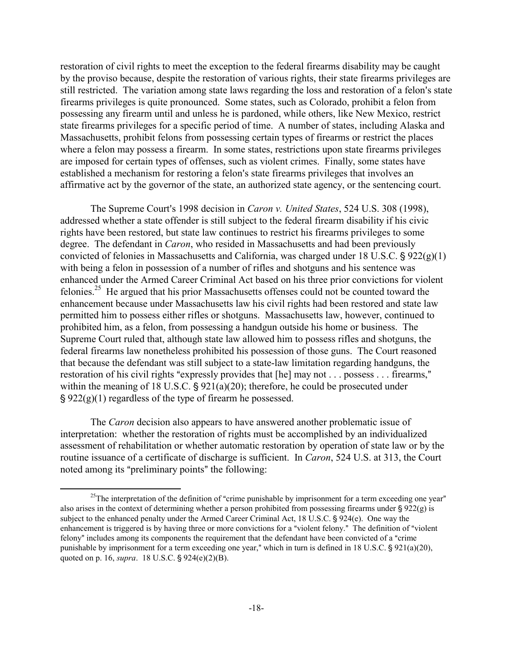restoration of civil rights to meet the exception to the federal firearms disability may be caught by the proviso because, despite the restoration of various rights, their state firearms privileges are still restricted. The variation among state laws regarding the loss and restoration of a felon's state firearms privileges is quite pronounced. Some states, such as Colorado, prohibit a felon from possessing any firearm until and unless he is pardoned, while others, like New Mexico, restrict state firearms privileges for a specific period of time. A number of states, including Alaska and Massachusetts, prohibit felons from possessing certain types of firearms or restrict the places where a felon may possess a firearm. In some states, restrictions upon state firearms privileges are imposed for certain types of offenses, such as violent crimes. Finally, some states have established a mechanism for restoring a felon's state firearms privileges that involves an affirmative act by the governor of the state, an authorized state agency, or the sentencing court.

The Supreme Court's 1998 decision in *Caron v. United States*, 524 U.S. 308 (1998), addressed whether a state offender is still subject to the federal firearm disability if his civic rights have been restored, but state law continues to restrict his firearms privileges to some degree. The defendant in *Caron*, who resided in Massachusetts and had been previously convicted of felonies in Massachusetts and California, was charged under 18 U.S.C.  $\frac{1}{2}$  922(g)(1) with being a felon in possession of a number of rifles and shotguns and his sentence was enhanced under the Armed Career Criminal Act based on his three prior convictions for violent felonies.[25](#page-19-0) He argued that his prior Massachusetts offenses could not be counted toward the enhancement because under Massachusetts law his civil rights had been restored and state law permitted him to possess either rifles or shotguns. Massachusetts law, however, continued to prohibited him, as a felon, from possessing a handgun outside his home or business. The Supreme Court ruled that, although state law allowed him to possess rifles and shotguns, the federal firearms law nonetheless prohibited his possession of those guns. The Court reasoned that because the defendant was still subject to a state-law limitation regarding handguns, the restoration of his civil rights "expressly provides that  $[he]$  may not . . . possess . . . firearms," within the meaning of 18 U.S.C.  $\S 921(a)(20)$ ; therefore, he could be prosecuted under ' 922(g)(1) regardless of the type of firearm he possessed.

The *Caron* decision also appears to have answered another problematic issue of interpretation: whether the restoration of rights must be accomplished by an individualized assessment of rehabilitation or whether automatic restoration by operation of state law or by the routine issuance of a certificate of discharge is sufficient. In *Caron*, 524 U.S. at 313, the Court noted among its "preliminary points" the following:

<span id="page-19-0"></span><sup>&</sup>lt;sup>25</sup>The interpretation of the definition of "crime punishable by imprisonment for a term exceeding one year" also arises in the context of determining whether a person prohibited from possessing firearms under  $\S 922(g)$  is subject to the enhanced penalty under the Armed Career Criminal Act,  $18 \text{ U.S.C. }$  \$924(e). One way the enhancement is triggered is by having three or more convictions for a "violent felony." The definition of "violent" felony" includes among its components the requirement that the defendant have been convicted of a "crime" punishable by imprisonment for a term exceeding one year," which in turn is defined in 18 U.S.C.  $\S$  921(a)(20), quoted on p. 16, *supra*. 18 U.S.C.  $\S 924(e)(2)(B)$ .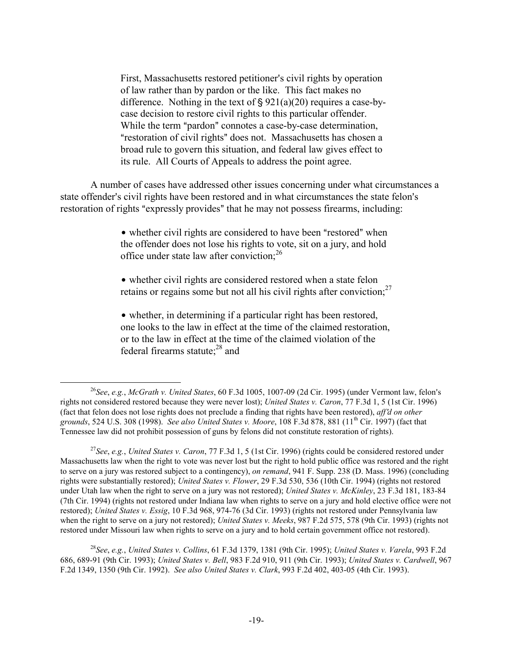First, Massachusetts restored petitioner's civil rights by operation of law rather than by pardon or the like. This fact makes no difference. Nothing in the text of  $\S 921(a)(20)$  requires a case-bycase decision to restore civil rights to this particular offender. While the term "pardon" connotes a case-by-case determination, "restoration of civil rights" does not. Massachusetts has chosen a broad rule to govern this situation, and federal law gives effect to its rule. All Courts of Appeals to address the point agree.

A number of cases have addressed other issues concerning under what circumstances a state offender's civil rights have been restored and in what circumstances the state felon's restoration of rights "expressly provides" that he may not possess firearms, including:

> • whether civil rights are considered to have been "restored" when the offender does not lose his rights to vote, sit on a jury, and hold office under state law after conviction:<sup>[26](#page-20-0)</sup>

• whether civil rights are considered restored when a state felon retains or regains some but not all his civil rights after conviction; $27$ 

• whether, in determining if a particular right has been restored, one looks to the law in effect at the time of the claimed restoration, or to the law in effect at the time of the claimed violation of the federal firearms statute: $28$  and

<span id="page-20-2"></span><sup>28</sup>*See*, *e.g.*, *United States v. Collins*, 61 F.3d 1379, 1381 (9th Cir. 1995); *United States v. Varela*, 993 F.2d 686, 689-91 (9th Cir. 1993); *United States v. Bell*, 983 F.2d 910, 911 (9th Cir. 1993); *United States v. Cardwell*, 967 F.2d 1349, 1350 (9th Cir. 1992). *See also United States v. Clark*, 993 F.2d 402, 403-05 (4th Cir. 1993).

<span id="page-20-0"></span><sup>&</sup>lt;sup>26</sup>See, e.g., *McGrath v. United States*, 60 F.3d 1005, 1007-09 (2d Cir. 1995) (under Vermont law, felon's rights not considered restored because they were never lost); *United States v. Caron*, 77 F.3d 1, 5 (1st Cir. 1996) (fact that felon does not lose rights does not preclude a finding that rights have been restored), *aff<sup>'</sup>d* on other *grounds*, 524 U.S. 308 (1998). *See also United States v. Moore*, 108 F.3d 878, 881 (11th Cir. 1997) (fact that Tennessee law did not prohibit possession of guns by felons did not constitute restoration of rights).

<span id="page-20-1"></span><sup>27</sup>*See*, *e.g.*, *United States v. Caron*, 77 F.3d 1, 5 (1st Cir. 1996) (rights could be considered restored under Massachusetts law when the right to vote was never lost but the right to hold public office was restored and the right to serve on a jury was restored subject to a contingency), *on remand*, 941 F. Supp. 238 (D. Mass. 1996) (concluding rights were substantially restored); *United States v. Flower*, 29 F.3d 530, 536 (10th Cir. 1994) (rights not restored under Utah law when the right to serve on a jury was not restored); *United States v. McKinley*, 23 F.3d 181, 183-84 (7th Cir. 1994) (rights not restored under Indiana law when rights to serve on a jury and hold elective office were not restored); *United States v. Essig*, 10 F.3d 968, 974-76 (3d Cir. 1993) (rights not restored under Pennsylvania law when the right to serve on a jury not restored); *United States v. Meeks*, 987 F.2d 575, 578 (9th Cir. 1993) (rights not restored under Missouri law when rights to serve on a jury and to hold certain government office not restored).